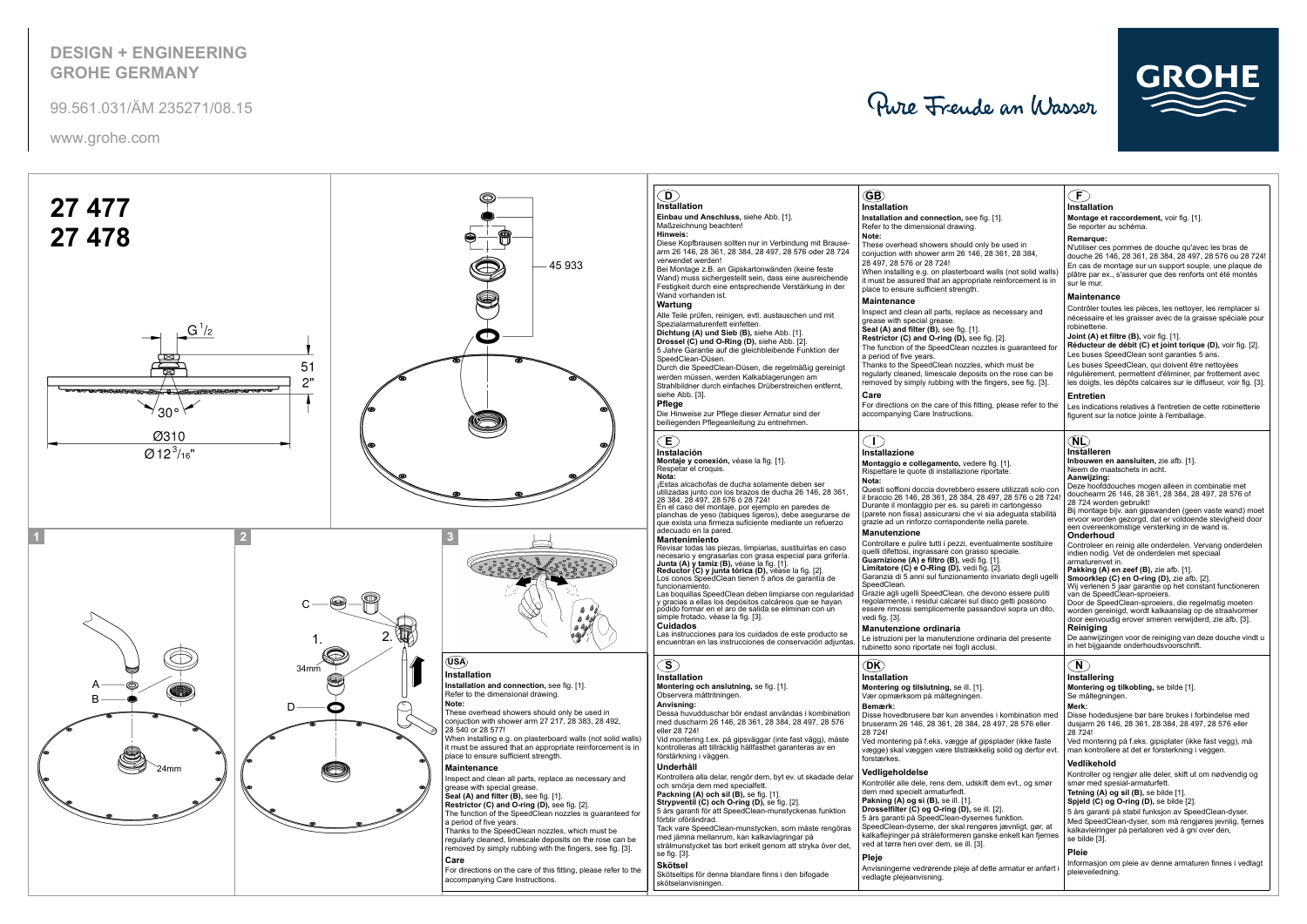## **DESIGN + ENGINEERINGGROHE GERMANY**

www.grohe.com

99.561.031/ÄM 235271/08.15

Pure Frende an Wasser





|                                                                            | $\left(\mathsf{F}\right)$                                                                                                                                                                                                         |
|----------------------------------------------------------------------------|-----------------------------------------------------------------------------------------------------------------------------------------------------------------------------------------------------------------------------------|
|                                                                            | <b>Installation</b>                                                                                                                                                                                                               |
| j. [1].                                                                    | Montage et raccordement, voir fig. [1].<br>Se reporter au schéma.                                                                                                                                                                 |
| y be used in<br>28 361, 28 384,                                            | Remarque:<br>N'utiliser ces pommes de douche qu'avec les bras de<br>douche 26 146, 28 361, 28 384, 28 497, 28 576 ou 28 724!<br>En cas de montage sur un support souple, une plaque de                                            |
| walls (not solid walls)<br>e reinforcement is in                           | plâtre par ex., s'assurer que des renforts ont été montés<br>sur le mur.                                                                                                                                                          |
| s necessary and                                                            | <b>Maintenance</b><br>Contrôler toutes les pièces, les nettoyer, les remplacer si<br>nécessaire et les graisser avec de la graisse spéciale pour<br>robinetterie.                                                                 |
| ig. [2].<br>les is guaranteed for                                          | Joint (A) et filtre (B), voir fig. [1].<br>Réducteur de débit (C) et joint torique (D), voir fig. [2].<br>Les buses SpeedClean sont garanties 5 ans.                                                                              |
| which must be<br>on the rose can be<br>ingers, see fig. [3].               | Les buses SpeedClean, qui doivent être nettoyées<br>régulièrement, permettent d'éliminer, par frottement avec<br>les doigts, les dépôts calcaires sur le diffuseur, voir fig. [3].                                                |
| ig, please refer to the                                                    | <b>Entretien</b><br>Les indications relatives à l'entretien de cette robinetterie<br>figurent sur la notice jointe à l'emballage.                                                                                                 |
|                                                                            | (NL)<br>Installeren                                                                                                                                                                                                               |
| fig. $[1]$ .<br>portate.                                                   | <b>Inbouwen en aansluiten, zie afb.</b> [1].<br>Neem de maatschets in acht.<br>Aanwijzing:                                                                                                                                        |
| sere utilizzati solo con<br>497, 28 576 o 28 724!<br>ti in cartongesso     | Deze hoofddouches mogen alleen in combinatie met<br>douchearm 26 146, 28 361, 28 384, 28 497, 28 576 of<br>28 724 worden gebruikt!                                                                                                |
| sia adeguata stabilità<br>nella parete.                                    | Bij montage bijv. aan gipswanden (geen vaste wand) moet<br>ervoor worden gezorgd, dat er voldoende stevigheid door<br>een overeenkomstige versterking in de wand is.<br>Onderhoud                                                 |
| tualmente sostituire<br>speciale.<br>. [1].                                | Controleer en reinig alle onderdelen. Vervang onderdelen<br>indien nodig. Vet de onderdelen met speciaal<br>armaturenvet in.                                                                                                      |
| . [2].<br>o invariato degli ugelli                                         | Pakking (A) en zeef (B), zie afb. [1].<br><b>Smoorklep (C) en O-ring (D), zie afb. [2].</b><br>Wij verlenen 5 jaar garantie op het constant functioneren                                                                          |
| evono essere puliti<br>sco getti possono<br>ındovi sopra un dito,          | van de SpeedClean-sproeiers.<br>Door de SpeedClean-sproeiers, die regelmatig moeten<br>worden gereinigd, wordt kalkaanslag op de straalvormer<br>door eenvoudig erover smeren verwijderd, zie afb. [3].<br>Reiniaina              |
| linaria del presente<br>usi.                                               | De aanwijzingen voor de reiniging van deze douche vindt u<br>in het bijgaande onderhoudsvoorschrift.                                                                                                                              |
|                                                                            | N)<br>Installering                                                                                                                                                                                                                |
|                                                                            | Montering og tilkobling, se bilde [1].<br>Se måltegningen.<br>Merk:                                                                                                                                                               |
| es i kombination med<br>8 497, 28 576 eller                                | Disse hodedusjene bør bare brukes i forbindelse med<br>dusjarm 26 146, 28 361, 28 384, 28 497, 28 576 eller<br>28 724!                                                                                                            |
| osplader (ikke faste<br>lig solid og derfor evt.                           | Ved montering på f.eks. gipsplater (ikke fast vegg), må<br>man kontrollere at det er forsterkning i veggen.<br>Vedlikehold                                                                                                        |
| t dem evt., og smør                                                        | Kontroller og rengjør alle deler, skift ut om nødvendig og<br>smør med spesial-armaturfett.<br>Tetning $(A)$ og sil $(B)$ , se bilde $[1]$ .                                                                                      |
| I. [2].<br>es funktion.<br>res jævnligt, gør, at<br>ske enkelt kan fjernes | Spjeld (C) og O-ring (D), se bilde [2].<br>5 års garanti på stabil funksjon av SpeedClean-dyser.<br>Med SpeedClean-dyser, som må rengjøres jevnlig, fjernes<br>kalkavleiringer på perlatoren ved å gni over den,<br>se bilde [3]. |
| ette armatur er anført i                                                   | Pleie<br>Informasjon om pleie av denne armaturen finnes i vedlagt<br>pleieveiledning.                                                                                                                                             |
|                                                                            |                                                                                                                                                                                                                                   |